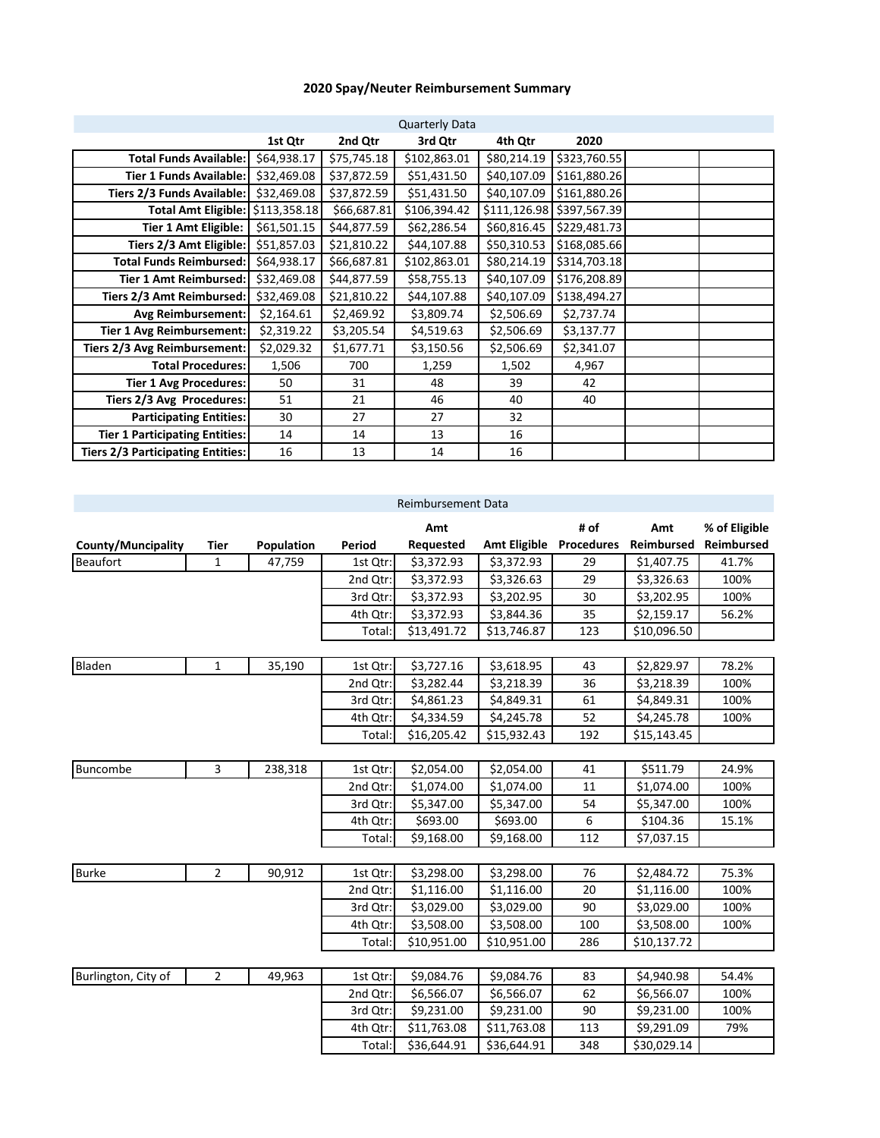## **2020 Spay/Neuter Reimbursement Summary**

| <b>Quarterly Data</b>                    |              |             |              |             |                           |  |  |  |
|------------------------------------------|--------------|-------------|--------------|-------------|---------------------------|--|--|--|
|                                          | 1st Qtr      | 2nd Qtr     | 3rd Qtr      | 4th Qtr     | 2020                      |  |  |  |
| <b>Total Funds Available:</b>            | \$64,938.17  | \$75,745.18 | \$102,863.01 | \$80,214.19 | \$323,760.55              |  |  |  |
| <b>Tier 1 Funds Available:</b>           | \$32,469.08  | \$37,872.59 | \$51,431.50  | \$40,107.09 | \$161,880.26              |  |  |  |
| Tiers 2/3 Funds Available:               | \$32,469.08  | \$37,872.59 | \$51,431.50  | \$40,107.09 | \$161,880.26              |  |  |  |
| <b>Total Amt Eligible:</b>               | \$113,358.18 | \$66,687.81 | \$106,394.42 |             | \$111,126.98 \$397,567.39 |  |  |  |
| Tier 1 Amt Eligible:                     | \$61,501.15  | \$44,877.59 | \$62,286.54  | \$60,816.45 | \$229,481.73              |  |  |  |
| Tiers 2/3 Amt Eligible:                  | \$51,857.03  | \$21,810.22 | \$44,107.88  | \$50,310.53 | \$168,085.66              |  |  |  |
| <b>Total Funds Reimbursed:</b>           | \$64,938.17  | \$66,687.81 | \$102,863.01 | \$80,214.19 | \$314,703.18              |  |  |  |
| Tier 1 Amt Reimbursed:                   | \$32,469.08  | \$44,877.59 | \$58,755.13  | \$40,107.09 | \$176,208.89              |  |  |  |
| Tiers 2/3 Amt Reimbursed:                | \$32,469.08  | \$21,810.22 | \$44,107.88  | \$40,107.09 | \$138,494.27              |  |  |  |
| <b>Avg Reimbursement:</b>                | \$2,164.61   | \$2,469.92  | \$3,809.74   | \$2,506.69  | \$2,737.74                |  |  |  |
| <b>Tier 1 Avg Reimbursement:</b>         | \$2,319.22   | \$3,205.54  | \$4,519.63   | \$2,506.69  | \$3,137.77                |  |  |  |
| Tiers 2/3 Avg Reimbursement:             | \$2,029.32   | \$1,677.71  | \$3,150.56   | \$2,506.69  | \$2,341.07                |  |  |  |
| <b>Total Procedures:</b>                 | 1,506        | 700         | 1,259        | 1,502       | 4,967                     |  |  |  |
| <b>Tier 1 Avg Procedures:</b>            | 50           | 31          | 48           | 39          | 42                        |  |  |  |
| Tiers 2/3 Avg Procedures:                | 51           | 21          | 46           | 40          | 40                        |  |  |  |
| <b>Participating Entities:</b>           | 30           | 27          | 27           | 32          |                           |  |  |  |
| <b>Tier 1 Participating Entities:</b>    | 14           | 14          | 13           | 16          |                           |  |  |  |
| <b>Tiers 2/3 Participating Entities:</b> | 16           | 13          | 14           | 16          |                           |  |  |  |

| <b>Reimbursement Data</b> |                |            |                                     |             |                     |                   |             |            |  |
|---------------------------|----------------|------------|-------------------------------------|-------------|---------------------|-------------------|-------------|------------|--|
|                           |                |            | # of<br>Amt<br>% of Eligible<br>Amt |             |                     |                   |             |            |  |
| County/Muncipality        | Tier           | Population | Period                              | Requested   | <b>Amt Eligible</b> | <b>Procedures</b> | Reimbursed  | Reimbursed |  |
| <b>Beaufort</b>           | $\mathbf{1}$   | 47,759     | 1st Qtr:                            | \$3,372.93  | \$3,372.93          | 29                | \$1,407.75  | 41.7%      |  |
|                           |                |            | 2nd Qtr:                            | \$3,372.93  | \$3,326.63          | 29                | \$3,326.63  | 100%       |  |
|                           |                |            | 3rd Qtr:                            | \$3,372.93  | \$3,202.95          | 30                | \$3,202.95  | 100%       |  |
|                           |                |            | 4th Qtr:                            | \$3,372.93  | \$3,844.36          | 35                | \$2,159.17  | 56.2%      |  |
|                           |                |            | Total:                              | \$13,491.72 | \$13,746.87         | 123               | \$10,096.50 |            |  |
|                           |                |            |                                     |             |                     |                   |             |            |  |
| Bladen                    | $\mathbf 1$    | 35,190     | 1st Qtr:                            | \$3,727.16  | \$3,618.95          | 43                | \$2,829.97  | 78.2%      |  |
|                           |                |            | 2nd Qtr:                            | \$3,282.44  | \$3,218.39          | 36                | \$3,218.39  | 100%       |  |
|                           |                |            | 3rd Qtr:                            | \$4,861.23  | \$4,849.31          | 61                | \$4,849.31  | 100%       |  |
|                           |                |            | 4th Qtr:                            | \$4,334.59  | \$4,245.78          | 52                | \$4,245.78  | 100%       |  |
|                           |                |            | Total:                              | \$16,205.42 | \$15,932.43         | 192               | \$15,143.45 |            |  |
|                           |                |            |                                     |             |                     |                   |             |            |  |
| Buncombe                  | 3              | 238,318    | 1st Qtr:                            | \$2,054.00  | \$2,054.00          | 41                | \$511.79    | 24.9%      |  |
|                           |                |            | 2nd Qtr:                            | \$1,074.00  | \$1,074.00          | 11                | \$1,074.00  | 100%       |  |
|                           |                |            | 3rd Qtr:                            | \$5,347.00  | \$5,347.00          | 54                | \$5,347.00  | 100%       |  |
|                           |                |            | 4th Qtr:                            | \$693.00    | \$693.00            | 6                 | \$104.36    | 15.1%      |  |
|                           |                |            | Total:                              | \$9,168.00  | \$9,168.00          | 112               | \$7,037.15  |            |  |
|                           |                |            |                                     |             |                     |                   |             |            |  |
| <b>Burke</b>              | $\overline{2}$ | 90,912     | 1st Qtr:                            | \$3,298.00  | \$3,298.00          | 76                | \$2,484.72  | 75.3%      |  |
|                           |                |            | 2nd Qtr:                            | \$1,116.00  | \$1,116.00          | 20                | \$1,116.00  | 100%       |  |
|                           |                |            | 3rd Qtr:                            | \$3,029.00  | \$3,029.00          | 90                | \$3,029.00  | 100%       |  |
|                           |                |            | 4th Qtr:                            | \$3,508.00  | \$3,508.00          | 100               | \$3,508.00  | 100%       |  |
|                           |                |            | Total:                              | \$10,951.00 | \$10,951.00         | 286               | \$10,137.72 |            |  |
|                           |                |            |                                     |             |                     |                   |             |            |  |
| Burlington, City of       | $\overline{2}$ | 49,963     | 1st Qtr:                            | \$9,084.76  | \$9,084.76          | 83                | \$4,940.98  | 54.4%      |  |
|                           |                |            | 2nd Qtr:                            | \$6,566.07  | \$6,566.07          | 62                | \$6,566.07  | 100%       |  |
|                           |                |            | 3rd Qtr:                            | \$9,231.00  | \$9,231.00          | 90                | \$9,231.00  | 100%       |  |
|                           |                |            | 4th Qtr:                            | \$11,763.08 | \$11,763.08         | 113               | \$9,291.09  | 79%        |  |
|                           |                |            | Total:                              | \$36,644.91 | \$36,644.91         | 348               | \$30,029.14 |            |  |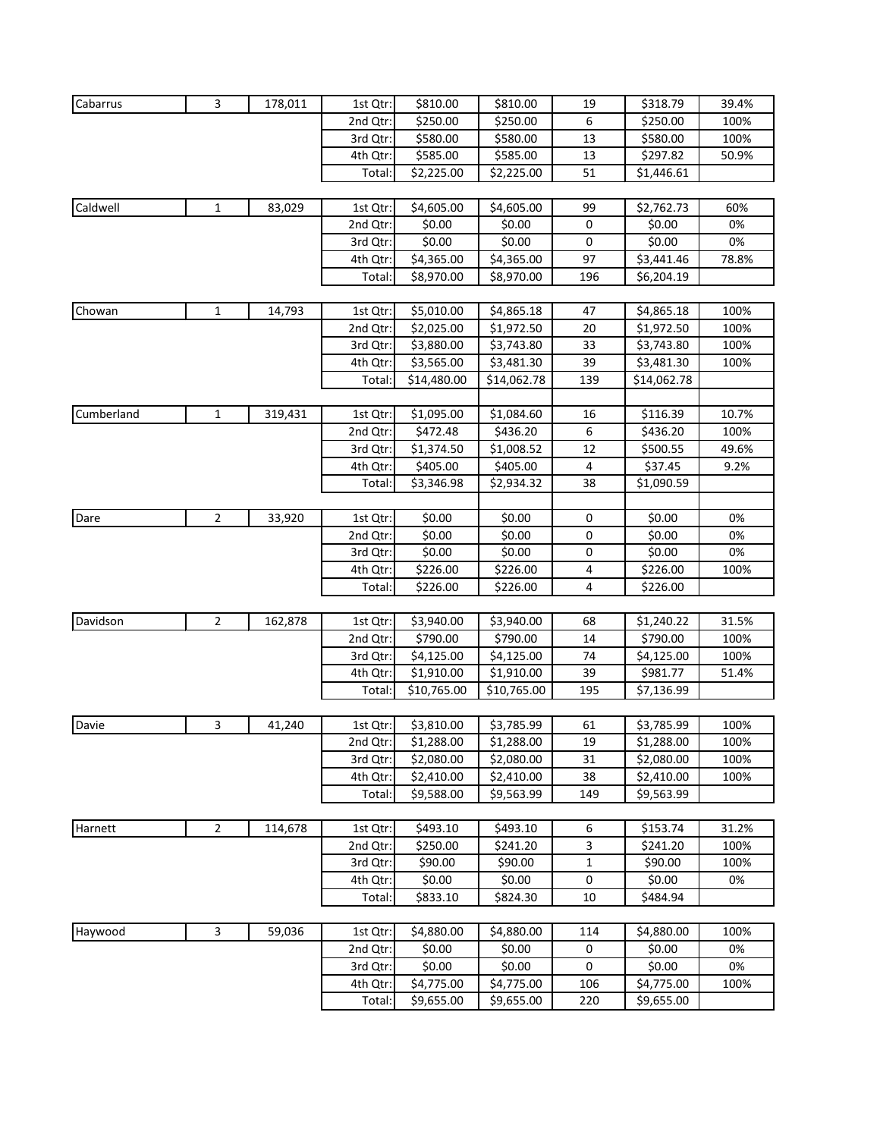| Cabarrus   | 3              | 178,011 | 1st Qtr: | \$810.00    | \$810.00    | 19  | \$318.79    | 39.4% |
|------------|----------------|---------|----------|-------------|-------------|-----|-------------|-------|
|            |                |         | 2nd Qtr: | \$250.00    | \$250.00    | 6   | \$250.00    | 100%  |
|            |                |         | 3rd Qtr: | \$580.00    | \$580.00    | 13  | \$580.00    | 100%  |
|            |                |         | 4th Qtr: | \$585.00    | \$585.00    | 13  | \$297.82    | 50.9% |
|            |                |         | Total:   | \$2,225.00  | \$2,225.00  | 51  | \$1,446.61  |       |
|            |                |         |          |             |             |     |             |       |
| Caldwell   | $\mathbf 1$    | 83,029  | 1st Qtr: | \$4,605.00  | \$4,605.00  | 99  | \$2,762.73  | 60%   |
|            |                |         | 2nd Qtr: | \$0.00      | \$0.00      | 0   | \$0.00      | 0%    |
|            |                |         | 3rd Qtr: | \$0.00      | \$0.00      | 0   | \$0.00      | 0%    |
|            |                |         | 4th Qtr: | \$4,365.00  | \$4,365.00  | 97  | \$3,441.46  | 78.8% |
|            |                |         | Total:   | \$8,970.00  | \$8,970.00  | 196 | \$6,204.19  |       |
|            |                |         |          |             |             |     |             |       |
| Chowan     | $\mathbf 1$    | 14,793  | 1st Qtr: | \$5,010.00  | \$4,865.18  | 47  | \$4,865.18  | 100%  |
|            |                |         | 2nd Qtr: | \$2,025.00  | \$1,972.50  | 20  | \$1,972.50  | 100%  |
|            |                |         | 3rd Qtr: | \$3,880.00  | \$3,743.80  | 33  | \$3,743.80  | 100%  |
|            |                |         | 4th Qtr: | \$3,565.00  | \$3,481.30  | 39  | \$3,481.30  | 100%  |
|            |                |         | Total:   | \$14,480.00 | \$14,062.78 | 139 | \$14,062.78 |       |
| Cumberland | $\mathbf 1$    | 319,431 | 1st Qtr: | \$1,095.00  | \$1,084.60  | 16  | \$116.39    | 10.7% |
|            |                |         | 2nd Qtr: | \$472.48    | \$436.20    | 6   | \$436.20    | 100%  |
|            |                |         | 3rd Qtr: | \$1,374.50  | \$1,008.52  | 12  | \$500.55    | 49.6% |
|            |                |         | 4th Qtr: | \$405.00    | \$405.00    | 4   | \$37.45     | 9.2%  |
|            |                |         | Total:   | \$3,346.98  | \$2,934.32  | 38  | \$1,090.59  |       |
|            |                |         |          |             |             |     |             |       |
| Dare       | $\overline{2}$ | 33,920  | 1st Qtr: | \$0.00      | \$0.00      | 0   | \$0.00      | 0%    |
|            |                |         | 2nd Qtr: | \$0.00      | \$0.00      | 0   | \$0.00      | 0%    |
|            |                |         | 3rd Qtr: | \$0.00      | \$0.00      | 0   | \$0.00      | 0%    |
|            |                |         | 4th Qtr: | \$226.00    | \$226.00    | 4   | \$226.00    | 100%  |
|            |                |         | Total:   | \$226.00    | \$226.00    | 4   | \$226.00    |       |
|            |                |         |          |             |             |     |             |       |
| Davidson   | $\overline{2}$ | 162,878 | 1st Qtr: | \$3,940.00  | \$3,940.00  | 68  | \$1,240.22  | 31.5% |
|            |                |         | 2nd Qtr: | \$790.00    | \$790.00    | 14  | \$790.00    | 100%  |
|            |                |         | 3rd Qtr: | \$4,125.00  | \$4,125.00  | 74  | \$4,125.00  | 100%  |
|            |                |         | 4th Qtr: | \$1,910.00  | \$1,910.00  | 39  | \$981.77    | 51.4% |
|            |                |         | Total:   | \$10,765.00 | \$10,765.00 | 195 | \$7,136.99  |       |
| Davie      | 3              | 41,240  | 1st Qtr: | \$3,810.00  | \$3,785.99  | 61  | \$3,785.99  | 100%  |
|            |                |         | 2nd Qtr: | \$1,288.00  | \$1,288.00  | 19  | \$1,288.00  | 100%  |
|            |                |         | 3rd Qtr: | \$2,080.00  | \$2,080.00  | 31  | \$2,080.00  | 100%  |
|            |                |         | 4th Qtr: | \$2,410.00  | \$2,410.00  | 38  | \$2,410.00  | 100%  |
|            |                |         | Total:   | \$9,588.00  | \$9,563.99  | 149 | \$9,563.99  |       |
|            |                |         |          |             |             |     |             |       |
| Harnett    | $\overline{2}$ | 114,678 | 1st Qtr: | \$493.10    | \$493.10    | 6   | \$153.74    | 31.2% |
|            |                |         | 2nd Qtr: | \$250.00    | \$241.20    | 3   | \$241.20    | 100%  |
|            |                |         | 3rd Qtr: | \$90.00     | \$90.00     | 1   | \$90.00     | 100%  |
|            |                |         | 4th Qtr: | \$0.00      | \$0.00      | 0   | \$0.00      | 0%    |
|            |                |         | Total:   | \$833.10    | \$824.30    | 10  | \$484.94    |       |
|            |                |         |          |             |             |     |             |       |
| Haywood    | 3              | 59,036  | 1st Qtr: | \$4,880.00  | \$4,880.00  | 114 | \$4,880.00  | 100%  |
|            |                |         | 2nd Qtr: | \$0.00      | \$0.00      | 0   | \$0.00      | 0%    |
|            |                |         | 3rd Qtr: | \$0.00      | \$0.00      | 0   | \$0.00      | 0%    |
|            |                |         | 4th Qtr: | \$4,775.00  | \$4,775.00  | 106 | \$4,775.00  | 100%  |
|            |                |         | Total:   | \$9,655.00  | \$9,655.00  | 220 | \$9,655.00  |       |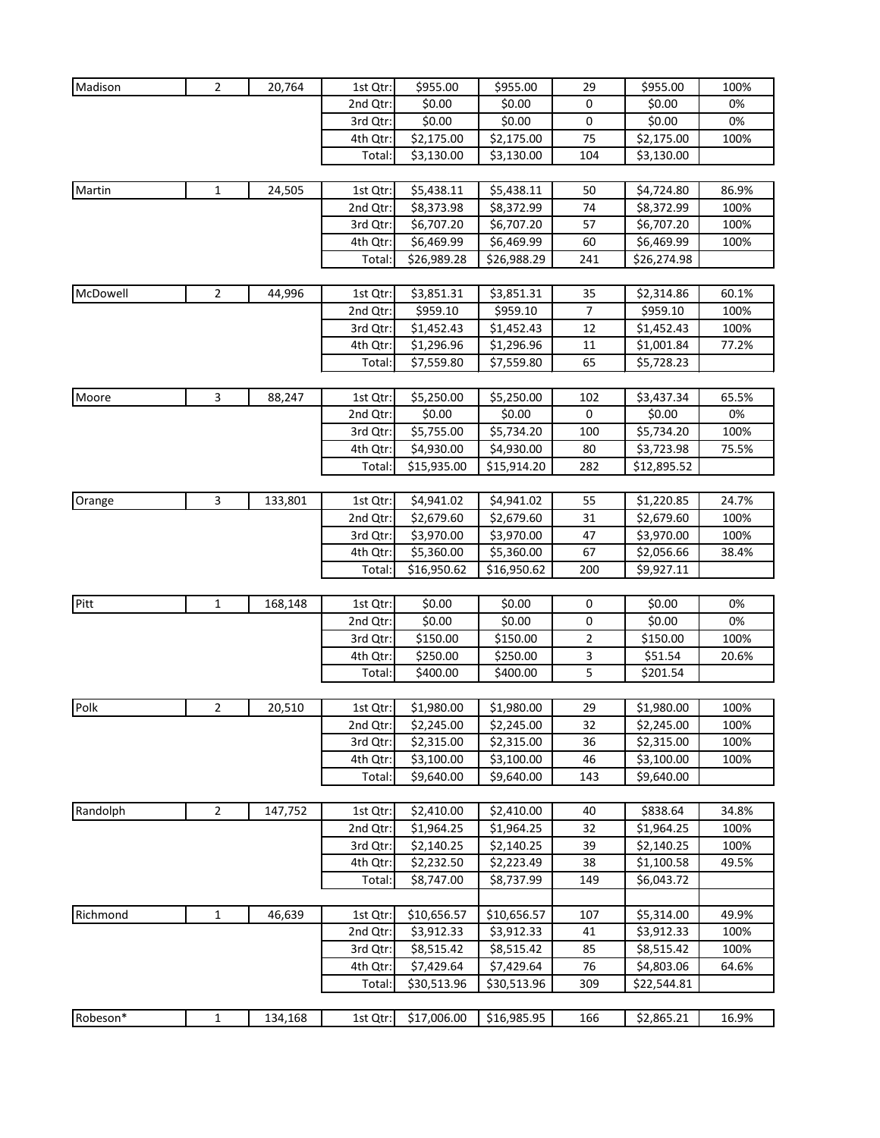| Madison  | $\overline{2}$ | 20,764  | 1st Qtr: | \$955.00    | \$955.00    | 29        | \$955.00    | 100%  |
|----------|----------------|---------|----------|-------------|-------------|-----------|-------------|-------|
|          |                |         | 2nd Qtr: | \$0.00      | \$0.00      | 0         | \$0.00      | 0%    |
|          |                |         | 3rd Qtr: | \$0.00      | \$0.00      | 0         | \$0.00      | 0%    |
|          |                |         | 4th Qtr: | \$2,175.00  | \$2,175.00  | 75        | \$2,175.00  | 100%  |
|          |                |         | Total:   | \$3,130.00  | \$3,130.00  | 104       | \$3,130.00  |       |
|          |                |         |          |             |             |           |             |       |
| Martin   | $\mathbf{1}$   | 24,505  | 1st Qtr: | \$5,438.11  | \$5,438.11  | 50        | \$4,724.80  | 86.9% |
|          |                |         | 2nd Qtr: | \$8,373.98  | \$8,372.99  | 74        | \$8,372.99  | 100%  |
|          |                |         | 3rd Qtr: | \$6,707.20  | \$6,707.20  | 57        | \$6,707.20  | 100%  |
|          |                |         | 4th Qtr: | \$6,469.99  | \$6,469.99  | 60        | \$6,469.99  | 100%  |
|          |                |         | Total:   | \$26,989.28 | \$26,988.29 | 241       | \$26,274.98 |       |
|          |                |         |          |             |             |           |             |       |
| McDowell | 2              | 44,996  | 1st Qtr: | \$3,851.31  | \$3,851.31  | 35        | \$2,314.86  | 60.1% |
|          |                |         | 2nd Qtr: | \$959.10    | \$959.10    | 7         | \$959.10    | 100%  |
|          |                |         | 3rd Qtr: | \$1,452.43  | \$1,452.43  | 12        | \$1,452.43  | 100%  |
|          |                |         | 4th Qtr: | \$1,296.96  | \$1,296.96  | 11        | \$1,001.84  | 77.2% |
|          |                |         | Total:   | \$7,559.80  | \$7,559.80  | 65        | \$5,728.23  |       |
|          |                |         |          |             |             |           |             |       |
| Moore    | 3              | 88,247  | 1st Qtr: | \$5,250.00  | \$5,250.00  | 102       | \$3,437.34  | 65.5% |
|          |                |         | 2nd Qtr: | \$0.00      | \$0.00      | $\pmb{0}$ | \$0.00      | 0%    |
|          |                |         | 3rd Qtr: | \$5,755.00  | \$5,734.20  | 100       | \$5,734.20  | 100%  |
|          |                |         | 4th Qtr: | \$4,930.00  | \$4,930.00  | 80        | \$3,723.98  | 75.5% |
|          |                |         | Total:   | \$15,935.00 | \$15,914.20 | 282       | \$12,895.52 |       |
|          |                |         |          |             |             |           |             |       |
| Orange   | 3              | 133,801 | 1st Qtr: | \$4,941.02  | \$4,941.02  | 55        | \$1,220.85  | 24.7% |
|          |                |         | 2nd Qtr: | \$2,679.60  | \$2,679.60  | 31        | \$2,679.60  | 100%  |
|          |                |         | 3rd Qtr: | \$3,970.00  | \$3,970.00  | 47        | \$3,970.00  | 100%  |
|          |                |         | 4th Qtr: | \$5,360.00  | \$5,360.00  | 67        | \$2,056.66  | 38.4% |
|          |                |         | Total:   | \$16,950.62 | \$16,950.62 | 200       | \$9,927.11  |       |
|          |                |         |          |             |             |           |             |       |
| Pitt     | $\mathbf{1}$   | 168,148 | 1st Qtr: | \$0.00      | \$0.00      | 0         | \$0.00      | 0%    |
|          |                |         | 2nd Qtr: | \$0.00      | \$0.00      | 0         | \$0.00      | 0%    |
|          |                |         | 3rd Qtr: | \$150.00    | \$150.00    | 2         | \$150.00    | 100%  |
|          |                |         | 4th Qtr: | \$250.00    | \$250.00    | 3         | \$51.54     | 20.6% |
|          |                |         | Total:   | \$400.00    | \$400.00    | 5         | \$201.54    |       |
|          |                |         |          |             |             |           |             |       |
| Polk     | $\overline{2}$ | 20,510  | 1st Qtr: | \$1,980.00  | \$1,980.00  | 29        | \$1,980.00  | 100%  |
|          |                |         | 2nd Qtr: | \$2,245.00  | \$2,245.00  | 32        | \$2,245.00  | 100%  |
|          |                |         | 3rd Qtr: | \$2,315.00  | \$2,315.00  | 36        | \$2,315.00  | 100%  |
|          |                |         | 4th Qtr: | \$3,100.00  | \$3,100.00  | 46        | \$3,100.00  | 100%  |
|          |                |         | Total:   | \$9,640.00  | \$9,640.00  | 143       | \$9,640.00  |       |
|          |                |         |          |             |             |           |             |       |
| Randolph | $\overline{2}$ | 147,752 | 1st Qtr: | \$2,410.00  | \$2,410.00  | 40        | \$838.64    | 34.8% |
|          |                |         | 2nd Qtr: | \$1,964.25  | \$1,964.25  | 32        | \$1,964.25  | 100%  |
|          |                |         | 3rd Qtr: | \$2,140.25  | \$2,140.25  | 39        | \$2,140.25  | 100%  |
|          |                |         | 4th Qtr: | \$2,232.50  | \$2,223.49  | 38        | \$1,100.58  | 49.5% |
|          |                |         | Total:   | \$8,747.00  | \$8,737.99  | 149       | \$6,043.72  |       |
|          |                |         |          |             |             |           |             |       |
| Richmond | $\mathbf{1}$   | 46,639  | 1st Qtr: | \$10,656.57 | \$10,656.57 | 107       | \$5,314.00  | 49.9% |
|          |                |         | 2nd Qtr: | \$3,912.33  | \$3,912.33  | 41        | \$3,912.33  | 100%  |
|          |                |         | 3rd Qtr: | \$8,515.42  | \$8,515.42  | 85        | \$8,515.42  | 100%  |
|          |                |         | 4th Qtr: | \$7,429.64  | \$7,429.64  | 76        | \$4,803.06  | 64.6% |
|          |                |         | Total:   | \$30,513.96 | \$30,513.96 | 309       | \$22,544.81 |       |
|          |                |         |          |             |             |           |             |       |
| Robeson* | 1              | 134,168 | 1st Qtr: | \$17,006.00 | \$16,985.95 | 166       | \$2,865.21  | 16.9% |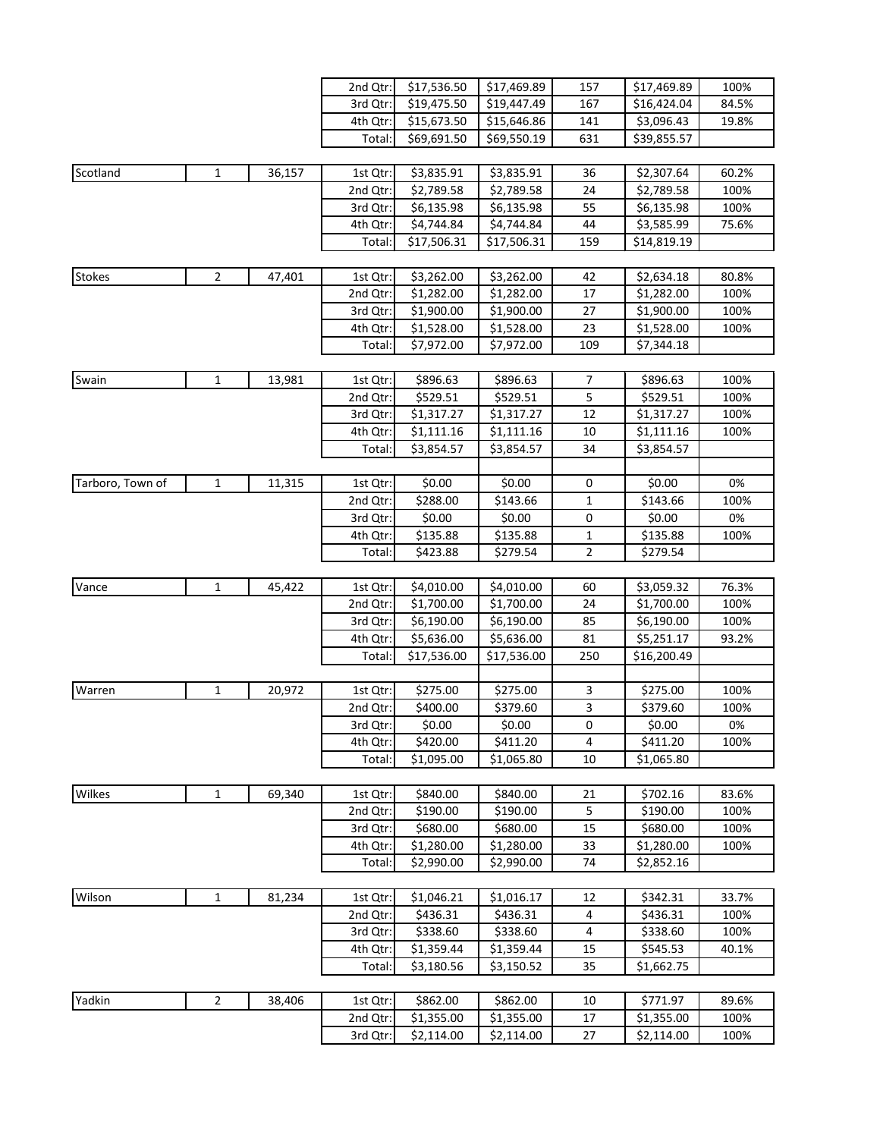|                  |                |        | 2nd Qtr: | \$17,536.50 | \$17,469.89 | 157            | \$17,469.89 | 100%  |
|------------------|----------------|--------|----------|-------------|-------------|----------------|-------------|-------|
|                  |                |        | 3rd Qtr: | \$19,475.50 | \$19,447.49 | 167            | \$16,424.04 | 84.5% |
|                  |                |        | 4th Qtr: | \$15,673.50 | \$15,646.86 | 141            | \$3,096.43  | 19.8% |
|                  |                |        | Total:   | \$69,691.50 | \$69,550.19 | 631            | \$39,855.57 |       |
|                  |                |        |          |             |             |                |             |       |
| Scotland         | 1              | 36,157 | 1st Qtr: | \$3,835.91  | \$3,835.91  | 36             | \$2,307.64  | 60.2% |
|                  |                |        | 2nd Qtr: | \$2,789.58  | \$2,789.58  | 24             | \$2,789.58  | 100%  |
|                  |                |        | 3rd Qtr: | \$6,135.98  | \$6,135.98  | 55             | \$6,135.98  | 100%  |
|                  |                |        | 4th Qtr: | \$4,744.84  | \$4,744.84  | 44             | \$3,585.99  | 75.6% |
|                  |                |        | Total:   | \$17,506.31 | \$17,506.31 | 159            | \$14,819.19 |       |
|                  |                |        |          |             |             |                |             |       |
| <b>Stokes</b>    | $\overline{2}$ | 47,401 | 1st Qtr: | \$3,262.00  | \$3,262.00  | 42             | \$2,634.18  | 80.8% |
|                  |                |        | 2nd Qtr: | \$1,282.00  | \$1,282.00  | 17             | \$1,282.00  | 100%  |
|                  |                |        | 3rd Qtr: | \$1,900.00  | \$1,900.00  | 27             | \$1,900.00  | 100%  |
|                  |                |        | 4th Qtr: | \$1,528.00  | \$1,528.00  | 23             | \$1,528.00  | 100%  |
|                  |                |        | Total:   | \$7,972.00  | \$7,972.00  | 109            | \$7,344.18  |       |
|                  |                |        |          |             |             |                |             |       |
| Swain            | 1              | 13,981 | 1st Qtr: | \$896.63    | \$896.63    | 7              | \$896.63    | 100%  |
|                  |                |        | 2nd Qtr: | \$529.51    | \$529.51    | 5              | \$529.51    | 100%  |
|                  |                |        | 3rd Qtr: | \$1,317.27  | \$1,317.27  | 12             | \$1,317.27  | 100%  |
|                  |                |        | 4th Qtr: | \$1,111.16  | \$1,111.16  | 10             | \$1,111.16  | 100%  |
|                  |                |        | Total:   | \$3,854.57  | \$3,854.57  | 34             | \$3,854.57  |       |
|                  |                |        |          |             |             |                |             |       |
| Tarboro, Town of | 1              | 11,315 | 1st Qtr: | \$0.00      | \$0.00      | 0              | \$0.00      | 0%    |
|                  |                |        |          |             |             |                |             |       |
|                  |                |        | 2nd Qtr: | \$288.00    | \$143.66    | $\mathbf{1}$   | \$143.66    | 100%  |
|                  |                |        | 3rd Qtr: | \$0.00      | \$0.00      | 0              | \$0.00      | 0%    |
|                  |                |        | 4th Qtr: | \$135.88    | \$135.88    | 1              | \$135.88    | 100%  |
|                  |                |        | Total:   | \$423.88    | \$279.54    | $\overline{2}$ | \$279.54    |       |
|                  |                |        |          |             |             |                |             |       |
| Vance            | 1              | 45,422 | 1st Qtr: | \$4,010.00  | \$4,010.00  | 60             | \$3,059.32  | 76.3% |
|                  |                |        | 2nd Qtr: | \$1,700.00  | \$1,700.00  | 24             | \$1,700.00  | 100%  |
|                  |                |        | 3rd Qtr: | \$6,190.00  | \$6,190.00  | 85             | \$6,190.00  | 100%  |
|                  |                |        | 4th Qtr: | \$5,636.00  | \$5,636.00  | 81             | \$5,251.17  | 93.2% |
|                  |                |        | Total:   | \$17,536.00 | \$17,536.00 | 250            | \$16,200.49 |       |
|                  |                |        |          |             |             |                |             |       |
| Warren           | 1              | 20,972 | 1st Qtr: | \$275.00    | \$275.00    | 3              | \$275.00    | 100%  |
|                  |                |        | 2nd Qtr: | \$400.00    | \$379.60    | 3              | \$379.60    | 100%  |
|                  |                |        | 3rd Qtr: | \$0.00      | \$0.00      | 0              | \$0.00      | 0%    |
|                  |                |        | 4th Qtr: | \$420.00    | \$411.20    | 4              | \$411.20    | 100%  |
|                  |                |        | Total:   | \$1,095.00  | \$1,065.80  | 10             | \$1,065.80  |       |
|                  |                |        |          |             |             |                |             |       |
| Wilkes           | 1              | 69,340 | 1st Qtr: | \$840.00    | \$840.00    | 21             | \$702.16    | 83.6% |
|                  |                |        | 2nd Qtr: | \$190.00    | \$190.00    | 5              | \$190.00    | 100%  |
|                  |                |        | 3rd Qtr: | \$680.00    | \$680.00    | 15             | \$680.00    | 100%  |
|                  |                |        | 4th Qtr: | \$1,280.00  | \$1,280.00  | 33             | \$1,280.00  | 100%  |
|                  |                |        | Total:   | \$2,990.00  | \$2,990.00  | 74             | \$2,852.16  |       |
|                  |                |        |          |             |             |                |             |       |
| Wilson           | 1              | 81,234 | 1st Qtr: | \$1,046.21  | \$1,016.17  | 12             | \$342.31    | 33.7% |
|                  |                |        | 2nd Qtr: | \$436.31    | \$436.31    | 4              | \$436.31    | 100%  |
|                  |                |        | 3rd Qtr: | \$338.60    | \$338.60    | 4              | \$338.60    | 100%  |
|                  |                |        | 4th Qtr: | \$1,359.44  | \$1,359.44  | 15             | \$545.53    | 40.1% |
|                  |                |        | Total:   | \$3,180.56  | \$3,150.52  | 35             | \$1,662.75  |       |
|                  |                |        |          |             |             |                |             |       |
| Yadkin           | $\overline{2}$ | 38,406 | 1st Qtr: | \$862.00    | \$862.00    | 10             | \$771.97    | 89.6% |
|                  |                |        | 2nd Qtr: | \$1,355.00  | \$1,355.00  | 17             | \$1,355.00  | 100%  |
|                  |                |        | 3rd Qtr: | \$2,114.00  | \$2,114.00  | 27             | \$2,114.00  | 100%  |
|                  |                |        |          |             |             |                |             |       |